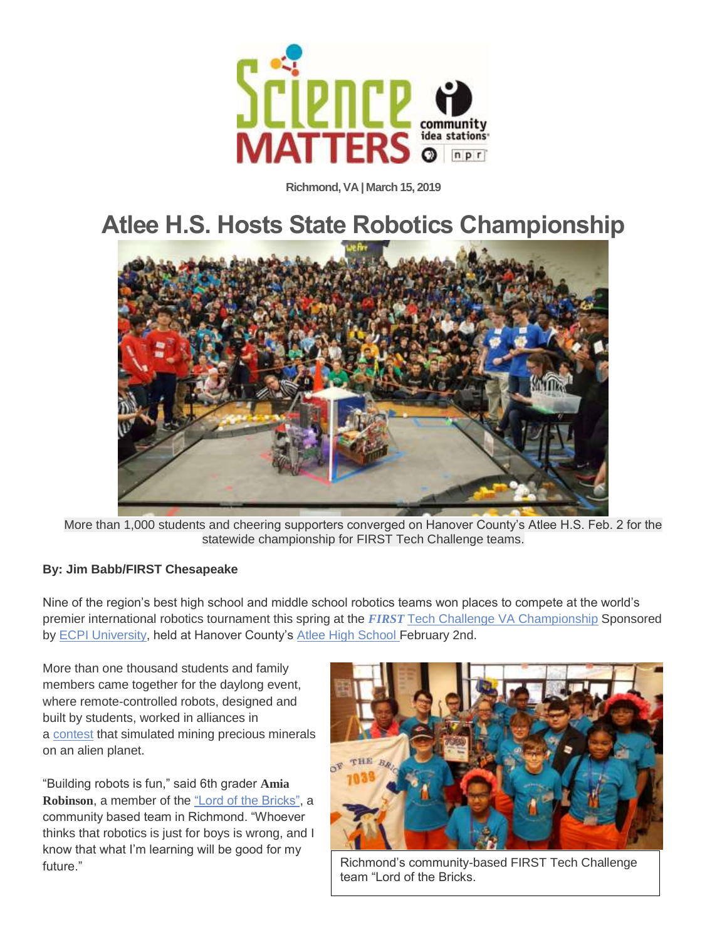

**Richmond, VA | March 15, 2019**

## **Atlee H.S. Hosts State Robotics Championship**



More than 1,000 students and cheering supporters converged on Hanover County's Atlee H.S. Feb. 2 for the statewide championship for FIRST Tech Challenge teams.

## **By: Jim Babb/FIRST Chesapeake**

Nine of the region's best high school and middle school robotics teams won places to compete at the world's premier international robotics tournament this spring at the *FIRST* Tech Challenge VA [Championship](https://www.firstchesapeake.org/virginia-state-championship) Sponsored by ECPI [University,](http://www.ecpi.edu/) held at Hanover County's Atlee High [School](http://ahs.hcps.us/) February 2nd.

More than one thousand students and family members came together for the daylong event, where remote-controlled robots, designed and built by students, worked in alliances in a [contest](https://www.youtube.com/watch?v=rR4gR4l2XA8&t=1s) that simulated mining precious minerals on an alien planet.

"Building robots is fun," said 6th grader **Amia Robinson**, a member of the "Lord of the [Bricks",](https://lordofthebricks.wildapricot.org/) a community based team in Richmond. "Whoever thinks that robotics is just for boys is wrong, and I know that what I'm learning will be good for my



future." **Example 2 COLORED 2** Richmond's community-based FIRST Tech Challenge team "Lord of the Bricks.